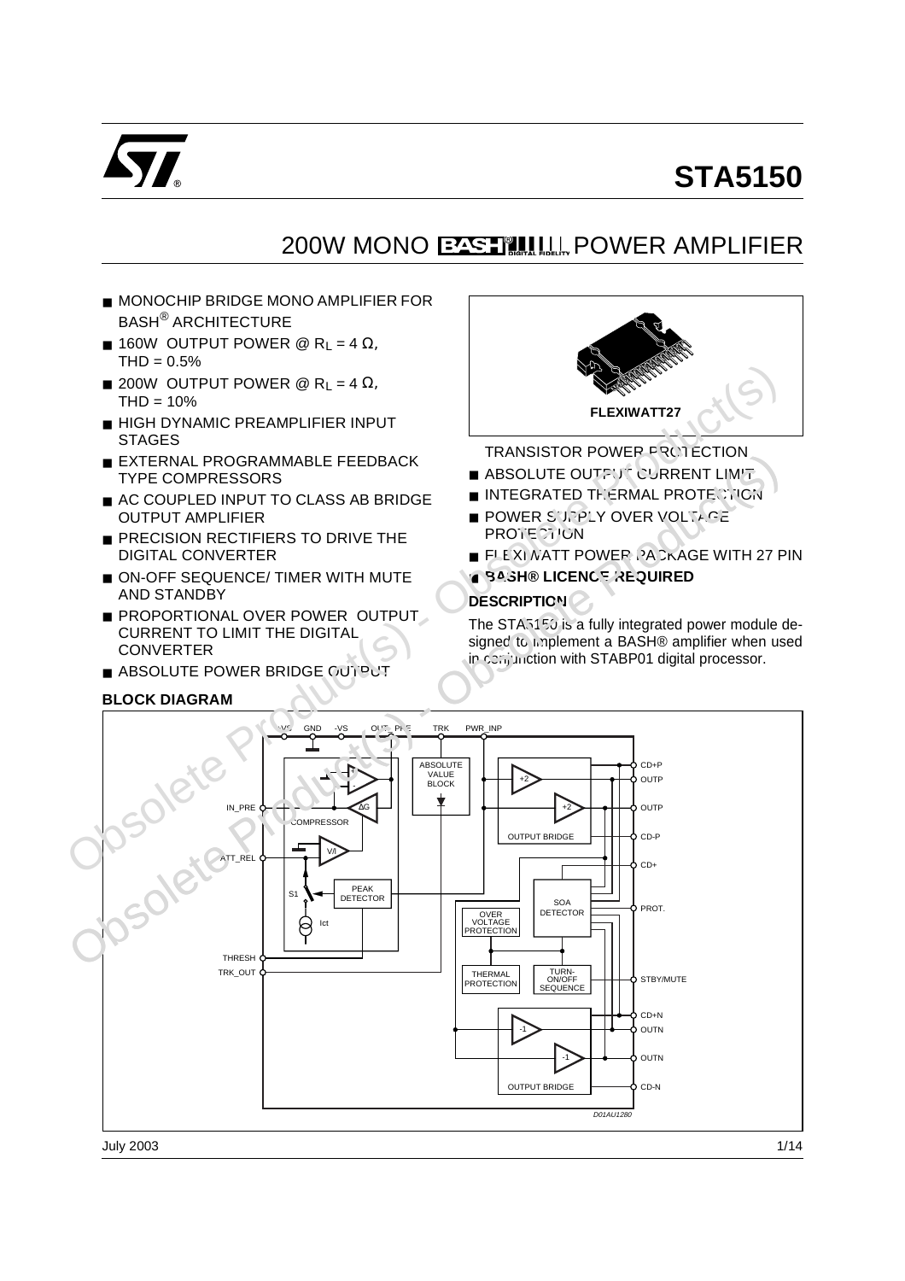

# **STA5150**

# 200W MONO PASTILLIN POWER AMPLIFIER

- MONOCHIP BRIDGE MONO AMPLIFIER FOR BASH® ARCHITECTURE
- **160W OUTPUT POWER @ R**<sub>L</sub> = 4  $\Omega$ ,  $THD = 0.5%$
- $\blacksquare$  200W OUTPUT POWER @ R<sub>L</sub> = 4 Ω,  $THD = 10%$
- HIGH DYNAMIC PREAMPLIFIER INPUT **STAGES**
- EXTERNAL PROGRAMMABLE FEEDBACK TYPE COMPRESSORS
- AC COUPLED INPUT TO CLASS AB BRIDGE OUTPUT AMPLIFIER
- PRECISION RECTIFIERS TO DRIVE THE DIGITAL CONVERTER
- ON-OFF SEQUENCE/ TIMER WITH MUTE AND STANDBY
- PROPORTIONAL OVER POWER OUTPUT CURRENT TO LIMIT THE DIGITAL **CONVERTER**
- ABSOLUTE POWER BRIDGE CUTPUT

# **BLOCK DIAGRAM**



TRANSISTOR POWER PROTECTION

- ABSOLUTE OUTFUT CURRENT LIMIT
- INTEGRATED THERMAL PROTECTICN
- POWER SUPPLY OVER VOLTAGE PROTE<sup>2</sup>7'CN
- FLEXI NATT POWER PACKAGE WITH 27 PIN
- **BASH® LICENCE REQUIRED**

# **DESCRIPTION**

The STA5150 is a fully integrated power module designed to implement a BASH® amplifier when used in conjunction with STABP01 digital processor.

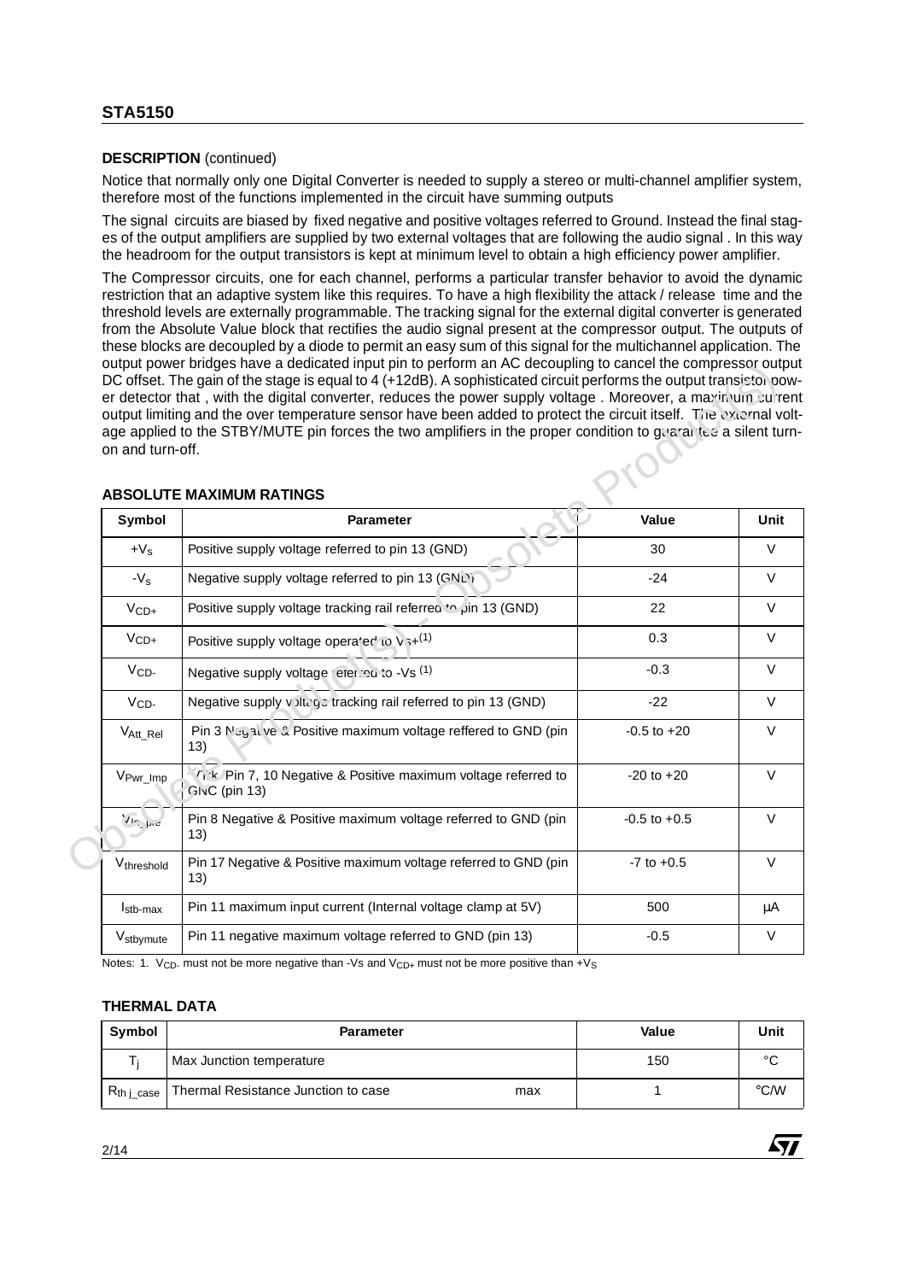# **DESCRIPTION** (continued)

Notice that normally only one Digital Converter is needed to supply a stereo or multi-channel amplifier system, therefore most of the functions implemented in the circuit have summing outputs

The signal circuits are biased by fixed negative and positive voltages referred to Ground. Instead the final stages of the output amplifiers are supplied by two external voltages that are following the audio signal . In this way the headroom for the output transistors is kept at minimum level to obtain a high efficiency power amplifier.

The Compressor circuits, one for each channel, performs a particular transfer behavior to avoid the dynamic restriction that an adaptive system like this requires. To have a high flexibility the attack / release time and the threshold levels are externally programmable. The tracking signal for the external digital converter is generated from the Absolute Value block that rectifies the audio signal present at the compressor output. The outputs of these blocks are decoupled by a diode to permit an easy sum of this signal for the multichannel application. The output power bridges have a dedicated input pin to perform an AC decoupling to cancel the compressor output DC offset. The gain of the stage is equal to 4 (+12dB). A sophisticated circuit performs the output transistor power detector that , with the digital converter, reduces the power supply voltage . Moreover, a maximum current output limiting and the over temperature sensor have been added to protect the circuit itself. The external voltage applied to the STBY/MUTE pin forces the two amplifiers in the proper condition to guarantee a silent turnon and turn-off.

|                       | <b>ABSOLUTE MAXIMUM RATINGS</b>                                               |                  |
|-----------------------|-------------------------------------------------------------------------------|------------------|
| Symbol                | <b>Parameter</b>                                                              | Value            |
| $+V_s$                | Positive supply voltage referred to pin 13 (GND)                              | 30               |
| $-Vs$                 | Negative supply voltage referred to pin 13 (GNL)                              | $-24$            |
| $VCD+$                | positive supply voltage tracking rail referred to pin 13 (GND)                | 22               |
| $VCD+$                | Positive supply voltage operated to $v_{3+}(1)$                               | 0.3              |
| $VCD-$                | Negative supply voltage reterion to -Vs (1)                                   | $-0.3$           |
| $V_{CD}$              | Negative supply v Jitego tracking rail referred to pin 13 (GND)               | $-22$            |
| V <sub>Att_Rel</sub>  | Pin 3 Neg 31. ve & Positive maximum voltage reffered to GND (pin<br>(13)      | $-0.5$ to $+20$  |
| V <sub>Pwr_Imp</sub>  | Tik Pin 7, 10 Negative & Positive maximum voltage referred to<br>GNC (pin 13) | $-20$ to $+20$   |
| $\sqrt{ln}$           | Pin 8 Negative & Positive maximum voltage referred to GND (pin<br>13)         | $-0.5$ to $+0.5$ |
| Vthreshold            | Pin 17 Negative & Positive maximum voltage referred to GND (pin<br>(13)       | $-7$ to $+0.5$   |
| I <sub>stb-max</sub>  | Pin 11 maximum input current (Internal voltage clamp at 5V)                   | 500              |
| V <sub>stbymute</sub> | Pin 11 negative maximum voltage referred to GND (pin 13)                      | $-0.5$           |

# **ABSOLUTE MAXIMUM RATINGS**

Notes: 1.  $V_{CD}$  must not be more negative than -Vs and  $V_{CD+}$  must not be more positive than +Vs

# **THERMAL DATA**

| Symbol                   | <b>Parameter</b>                           | Value | Unit          |
|--------------------------|--------------------------------------------|-------|---------------|
|                          | Max Junction temperature                   | 150   | $\sim$        |
| $R_{th\,\text{l\_case}}$ | Thermal Resistance Junction to case<br>max |       | $\degree$ C/W |

*É*y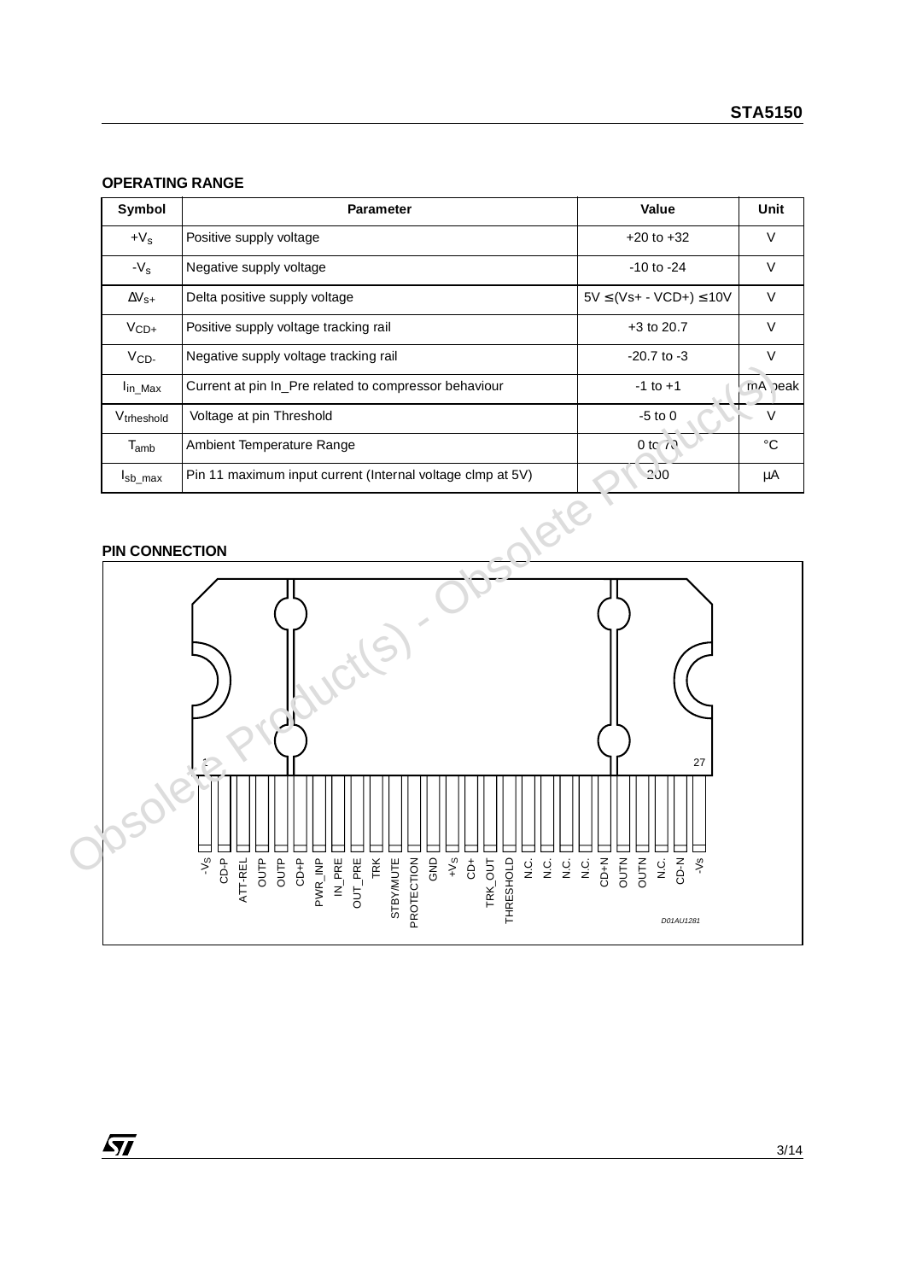#### **OPERATING RANGE**

| Symbol                 | <b>Parameter</b>                                           | Value                            | Unit    |
|------------------------|------------------------------------------------------------|----------------------------------|---------|
| $+V_s$                 | Positive supply voltage                                    | $+20$ to $+32$                   | $\vee$  |
| $-V_{\rm s}$           | Negative supply voltage                                    | $-10$ to $-24$                   | V       |
| $\Delta V_{\rm S+}$    | Delta positive supply voltage                              | $5V \leq (Vs+ - VCD+ ) \leq 10V$ | $\vee$  |
| $V_{CD+}$              | Positive supply voltage tracking rail                      | $+3$ to 20.7                     | V       |
| $VCD-$                 | Negative supply voltage tracking rail                      | $-20.7$ to $-3$                  | V       |
| I <sub>in</sub> Max    | Current at pin In_Pre related to compressor behaviour      | $-1$ to $+1$                     | mA beak |
| V <sub>trheshold</sub> | Voltage at pin Threshold                                   | $-5$ to 0                        | $\vee$  |
| $T_{amb}$              | Ambient Temperature Range                                  | 0 to $\sim$                      | °C      |
| I <sub>sb</sub> max    | Pin 11 maximum input current (Internal voltage clmp at 5V) | $-200$                           | μA      |

## **PIN CONNECTION**

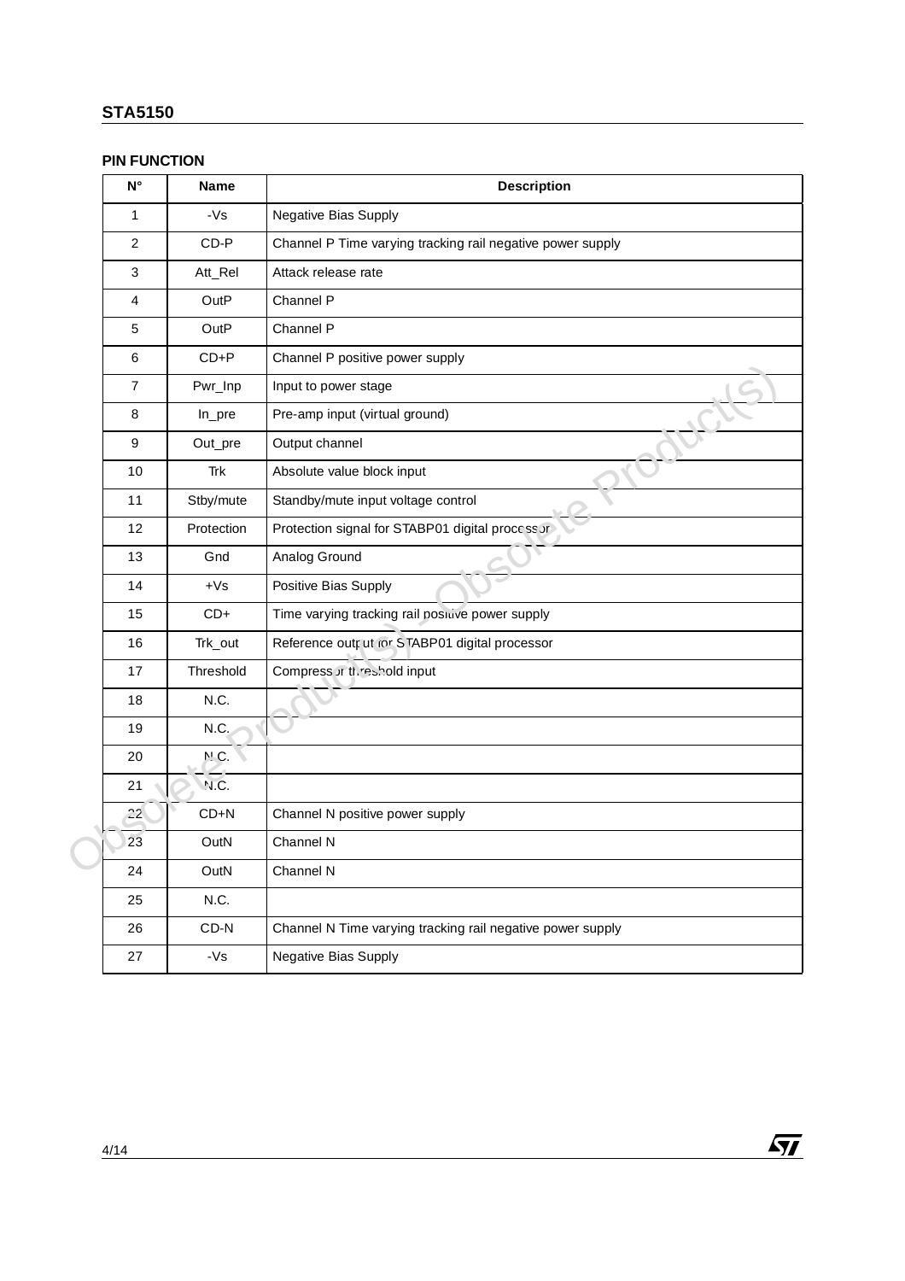## **PIN FUNCTION**

| $\mathsf{N}^\circ$ | <b>Name</b> | <b>Description</b>                                         |
|--------------------|-------------|------------------------------------------------------------|
| $\mathbf{1}$       | $-Vs$       | Negative Bias Supply                                       |
| $\overline{c}$     | $CD-P$      | Channel P Time varying tracking rail negative power supply |
| $\mathbf{3}$       | Att_Rel     | Attack release rate                                        |
| 4                  | OutP        | Channel P                                                  |
| 5                  | OutP        | Channel P                                                  |
| 6                  | $CD + P$    | Channel P positive power supply                            |
| $\overline{7}$     | Pwr_Inp     | Input to power stage                                       |
| 8                  | In_pre      | Pre-amp input (virtual ground)                             |
| 9                  | Out_pre     | Output channel                                             |
| 10                 | Trk         | Absolute value block input                                 |
| 11                 | Stby/mute   | Standby/mute input voltage control                         |
| 12                 | Protection  | Protection signal for STABP01 digital process or           |
| 13                 | Gnd         | Analog Ground                                              |
| 14                 | $+Vs$       | Positive Bias Supply                                       |
| 15                 | $CD+$       | Time varying tracking rail positive power supply           |
| 16                 | Trk_out     | Reference output for STABP01 digital processor             |
| 17                 | Threshold   | Compress or threshold input                                |
| 18                 | N.C.        |                                                            |
| 19                 | N.C.        |                                                            |
| 20                 | N.C.        |                                                            |
| 21                 | N.C.        |                                                            |
| 22                 | $CD + N$    | Channel N positive power supply                            |
| 23                 | OutN        | Channel N                                                  |
| 24                 | OutN        | Channel N                                                  |
| 25                 | N.C.        |                                                            |
| 26                 | $CD-N$      | Channel N Time varying tracking rail negative power supply |
| 27                 | -Vs         | Negative Bias Supply                                       |

 $\sqrt{1}$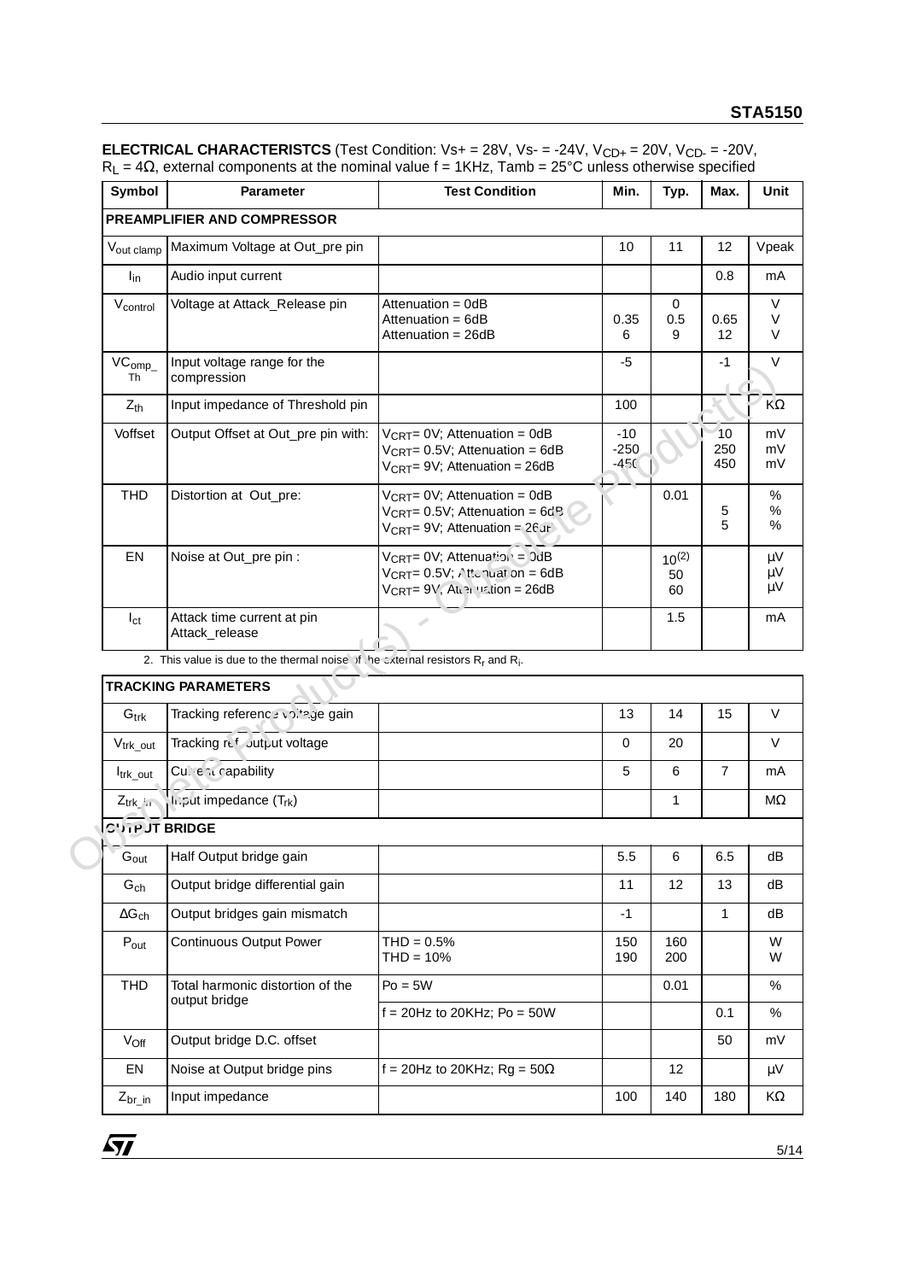| <b>Symbol</b>           | <b>Parameter</b>                                                                                        | <b>Test Condition</b>                                                                                                                               | Min.                      | Typ.                   | Max.             | Unit                |
|-------------------------|---------------------------------------------------------------------------------------------------------|-----------------------------------------------------------------------------------------------------------------------------------------------------|---------------------------|------------------------|------------------|---------------------|
|                         | <b>PREAMPLIFIER AND COMPRESSOR</b>                                                                      |                                                                                                                                                     |                           |                        |                  |                     |
| Vout clamp              | Maximum Voltage at Out_pre pin                                                                          |                                                                                                                                                     | 10                        | 11                     | 12               | Vpeak               |
| l <sub>in</sub>         | Audio input current                                                                                     |                                                                                                                                                     |                           |                        | 0.8              | mA                  |
| Vcontrol                | Voltage at Attack_Release pin                                                                           | Attenuation = 0dB<br>Attenuation = 6dB<br>Attenuation = 26dB                                                                                        | 0.35<br>6                 | 0<br>0.5<br>9          | 0.65<br>12       | V<br>V<br>V         |
| VC <sub>omp</sub><br>Th | Input voltage range for the<br>compression                                                              |                                                                                                                                                     | -5                        |                        | $-1$             | $\vee$              |
| $Z_{th}$                | Input impedance of Threshold pin                                                                        |                                                                                                                                                     | 100                       |                        |                  | $K\Omega$           |
| Voffset                 | Output Offset at Out_pre pin with:                                                                      | $V_{\text{CRT}} = 0V$ ; Attenuation = 0dB<br>$V_{CRT} = 0.5V$ ; Attenuation = 6dB<br>$V_{\text{CRT}} = 9V$ ; Attenuation = 26dB                     | $-10$<br>$-250$<br>$-450$ |                        | 10<br>250<br>450 | mV<br>mV<br>mV      |
| <b>THD</b>              | Distortion at Out_pre:                                                                                  | $V_{\text{CRT}} = 0V$ ; Attenuation = 0dB<br>$V_{\text{CRT}} = 0.5V$ ; Attenuation = 6d <sup>R</sup><br>$V_{\text{CRT}} = 9V$ ; Attenuation = 26 JE |                           | 0.01                   | 5<br>5           | %<br>$\%$<br>%      |
| EN                      | Noise at Out_pre pin :                                                                                  | VCRT= 0V; Attenuation = 0dB<br>$V_{\text{CRT}} = 0.5V$ ; Attanuation = 6dB<br>V <sub>CRT</sub> = 9V, At שוי וי V <sub>CRT</sub> = 9V, At            |                           | $10^{(2)}$<br>50<br>60 |                  | μV<br>$\mu$ V<br>μV |
| $I_{\rm ct}$            | Attack time current at pin<br>Attack_release                                                            |                                                                                                                                                     |                           | 1.5                    |                  | mA                  |
|                         | 2. This value is due to the thermal noise of the external resistors R <sub>r</sub> and R <sub>i</sub> . |                                                                                                                                                     |                           |                        |                  |                     |
|                         | <b>TRACKING PARAMETERS</b>                                                                              |                                                                                                                                                     |                           |                        |                  |                     |
| $G_{trk}$               | Tracking reference voltage gain                                                                         |                                                                                                                                                     | 13                        | 14                     | 15               | V                   |
| V <sub>trk_out</sub>    | Tracking refoutput voltage                                                                              |                                                                                                                                                     | 0                         | 20                     |                  | V                   |
| Itrk_out                | Current capability                                                                                      |                                                                                                                                                     | 5                         | 6                      | $\overline{7}$   | mA                  |
| $Z_{trk}$               | li.put impedance (T <sub>rk</sub> )                                                                     |                                                                                                                                                     |                           | $\mathbf{1}$           |                  | $M\Omega$           |
| <b>CUTPUT BRIDGE</b>    |                                                                                                         |                                                                                                                                                     |                           |                        |                  |                     |
| $G_{\text{out}}$        | Half Output bridge gain                                                                                 |                                                                                                                                                     | 5.5                       | 6                      | 6.5              | dВ                  |
| $G_{ch}$                | Output bridge differential gain                                                                         |                                                                                                                                                     | 11                        | 12                     | 13               | dВ                  |
| $\Delta G_{ch}$         | Output bridges gain mismatch                                                                            |                                                                                                                                                     | -1                        |                        | 1                | dB                  |

**ELECTRICAL CHARACTERISTCS** (Test Condition: Vs+ = 28V, Vs- = -24V, V<sub>CD+</sub> = 20V, V<sub>CD-</sub> = -20V,  $R_L$  = 4Ω, external components at the nominal value f = 1KHz, Tamb = 25°C unless otherwise specified

|                       |                                                                                       | $v_{\text{UK}}$ – 0.0 $v$ , Altonuation – 00D<br>$V_{\text{CRT}} = 9V$ ; Attenuation = 26dB                                                  | ⊷<br>$-450$ |                        | -vv<br>450     | mV                            |
|-----------------------|---------------------------------------------------------------------------------------|----------------------------------------------------------------------------------------------------------------------------------------------|-------------|------------------------|----------------|-------------------------------|
| <b>THD</b>            | Distortion at Out_pre:                                                                | $V_{\text{CRT}} = 0V$ ; Attenuation = 0dB<br>$V_{CRT} = 0.5V$ ; Attenuation = 6d <sup>B</sup><br>$V_{\text{CRT}} = 9V$ ; Attenuation = 26 JE |             | 0.01                   | 5<br>5         | %<br>%<br>℅                   |
| EN                    | Noise at Out_pre pin :                                                                | $V_{\text{CRT}} = 0V$ ; Attenuation = 0dB<br>$V_{\text{CRT}} = 0.5V$ ; Attanuation = 6dB<br>VCRT= 9V, At שול וי וי Ucrt= 9V,                 |             | $10^{(2)}$<br>50<br>60 |                | $\mu V$<br>$\mu V$<br>$\mu$ V |
| $I_{\text{ct}}$       | Attack time current at pin<br>Attack_release                                          |                                                                                                                                              |             | 1.5                    |                | mA                            |
|                       | 2. This value is due to the thermal noise of the external resistors $R_r$ and $R_i$ . |                                                                                                                                              |             |                        |                |                               |
|                       | <b>TRACKING PARAMETERS</b>                                                            |                                                                                                                                              |             |                        |                |                               |
| $G_{\mathsf{trk}}$    | Tracking reference voltage gain                                                       |                                                                                                                                              | 13          | 14                     | 15             | V                             |
| $V_{trk\_out}$        | Tracking refout ut voltage                                                            |                                                                                                                                              | $\Omega$    | 20                     |                | V                             |
| Itrk out              | Current capability                                                                    |                                                                                                                                              | 5           | 6                      | $\overline{7}$ | mA                            |
| $Z_{trk}$             | $h$ . put impedance $(T_{rk})$                                                        |                                                                                                                                              |             | 1                      |                | ΜΩ                            |
| <b>CITE JT BRIDGE</b> |                                                                                       |                                                                                                                                              |             |                        |                |                               |
| $G_{\text{out}}$      | Half Output bridge gain                                                               |                                                                                                                                              | 5.5         | 6                      | 6.5            | dB                            |
| $G_{ch}$              | Output bridge differential gain                                                       |                                                                                                                                              | 11          | 12                     | 13             | dB                            |
| $\Delta G_{ch}$       | Output bridges gain mismatch                                                          |                                                                                                                                              | $-1$        |                        | 1              | dВ                            |
| $P_{out}$             | <b>Continuous Output Power</b>                                                        | $THD = 0.5%$<br>$THD = 10%$                                                                                                                  | 150<br>190  | 160<br>200             |                | W<br>W                        |
| <b>THD</b>            | Total harmonic distortion of the                                                      | $Po = 5W$                                                                                                                                    |             | 0.01                   |                | $\%$                          |
|                       | output bridge                                                                         | $f = 20$ Hz to 20KHz; Po = 50W                                                                                                               |             |                        | 0.1            | %                             |
| V <sub>Off</sub>      | Output bridge D.C. offset                                                             |                                                                                                                                              |             |                        | 50             | mV                            |
| EN                    | Noise at Output bridge pins                                                           | f = 20Hz to 20KHz; Rg = $50\Omega$                                                                                                           |             | 12                     |                | μV                            |
| $Z_{\rm br\_in}$      | Input impedance                                                                       |                                                                                                                                              | 100         | 140                    | 180            | KΩ                            |

 $\sqrt{M}$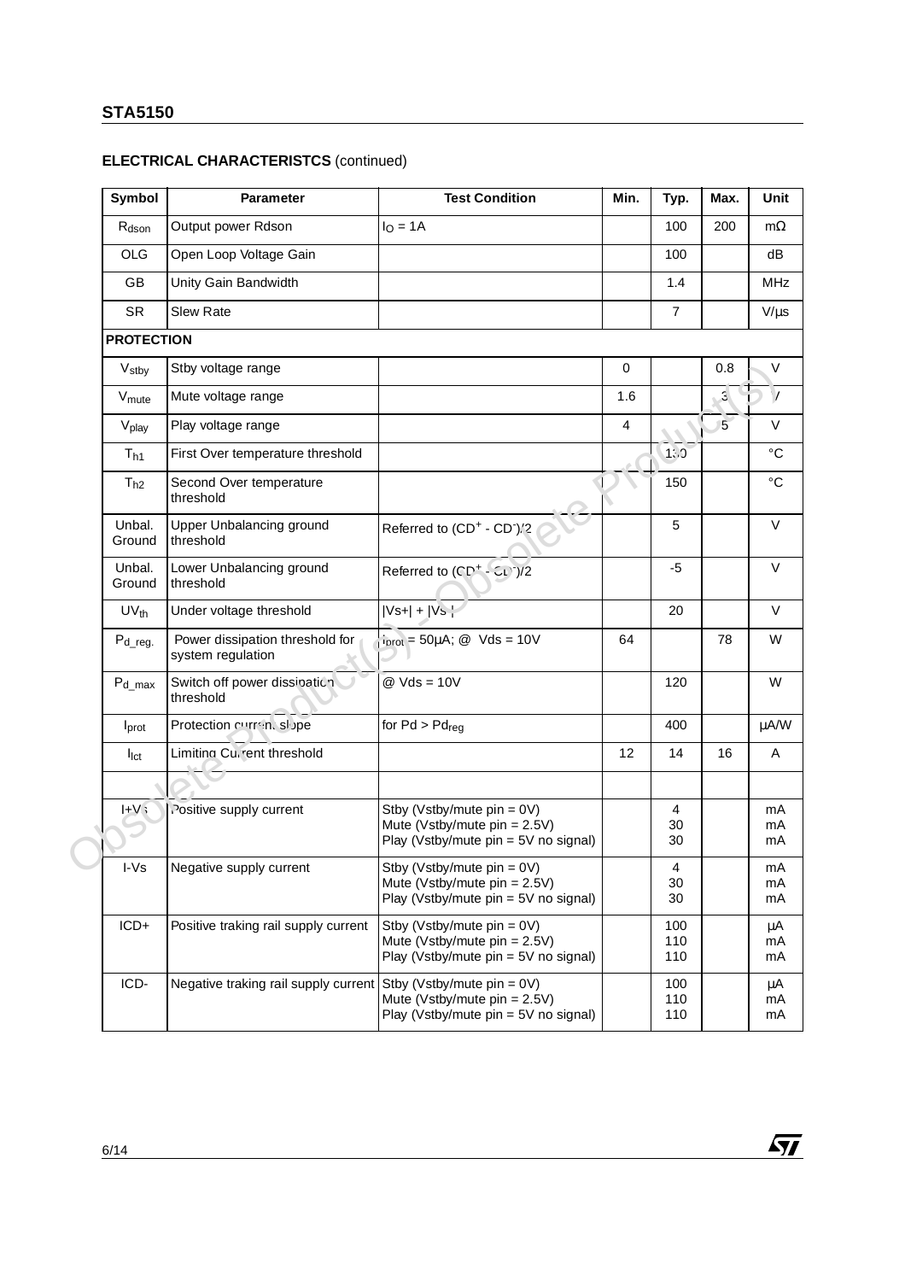# **ELECTRICAL CHARACTERISTCS** (continued)

| Symbol            | Parameter                                            | <b>Test Condition</b>                                                                                    | Min. | Typ.              | Max.            | Unit            |
|-------------------|------------------------------------------------------|----------------------------------------------------------------------------------------------------------|------|-------------------|-----------------|-----------------|
| $R_{\text{dson}}$ | Output power Rdson                                   | $IO = 1A$                                                                                                |      | 100               | 200             | $m\Omega$       |
| <b>OLG</b>        | Open Loop Voltage Gain                               |                                                                                                          |      | 100               |                 | dB              |
| <b>GB</b>         | Unity Gain Bandwidth                                 |                                                                                                          |      | 1.4               |                 | <b>MHz</b>      |
| <b>SR</b>         | <b>Slew Rate</b>                                     |                                                                                                          |      | $\overline{7}$    |                 | $V/\mu s$       |
| <b>PROTECTION</b> |                                                      |                                                                                                          |      |                   |                 |                 |
| V <sub>stby</sub> | Stby voltage range                                   |                                                                                                          | 0    |                   | 0.8             | V               |
| V <sub>mute</sub> | Mute voltage range                                   |                                                                                                          | 1.6  |                   | $\mathbf{3}$    | $\mathcal{L}$   |
| V <sub>play</sub> | Play voltage range                                   |                                                                                                          | 4    |                   | $5\overline{)}$ | $\vee$          |
| $T_{h1}$          | First Over temperature threshold                     |                                                                                                          |      | 1: 3              |                 | $\rm ^{\circ}C$ |
| $T_{h2}$          | Second Over temperature<br>threshold                 |                                                                                                          |      | 150               |                 | $^{\circ}C$     |
| Unbal.<br>Ground  | Upper Unbalancing ground<br>threshold                | Referred to (CD <sup>+</sup> - CD <sup>-</sup> )/2                                                       |      | 5                 |                 | V               |
| Unbal.<br>Ground  | Lower Unbalancing ground<br>threshold                | Referred to $(CD^+ - 5L)^2/2$                                                                            |      | $-5$              |                 | V               |
| $UV_{th}$         | Under voltage threshold                              | $ Vs+  +  Vs +$                                                                                          |      | 20                |                 | V               |
| $P_{d_{reg.}}$    | Power dissipation threshold for<br>system regulation | $i_{\text{prot}}$ = 50µA; @ Vds = 10V                                                                    | 64   |                   | 78              | W               |
| $P_{d\_max}$      | Switch off power dissioation<br>threshold            | $@$ Vds = 10V                                                                                            |      | 120               |                 | W               |
| I <sub>prot</sub> | Protection current slope                             | for $Pd > Pd_{req}$                                                                                      |      | 400               |                 | μA/W            |
| I <sub>lct</sub>  | Limiting Current threshold                           |                                                                                                          | 12   | 14                | 16              | Α               |
|                   |                                                      |                                                                                                          |      |                   |                 |                 |
| $H - V$           | Positive supply current                              | Stby (Vstby/mute $pin = 0V$ )<br>Mute (Vstby/mute pin = 2.5V)<br>Play (Vstby/mute pin = 5V no signal)    |      | 4<br>30<br>30     |                 | mA<br>mA<br>mA  |
| I-Vs              | Negative supply current                              | Stby (Vstby/mute pin = 0V)<br>Mute (Vstby/mute pin = $2.5V$ )<br>Play (Vstby/mute pin = 5V no signal)    |      | 4<br>30<br>30     |                 | mА<br>mA<br>mA  |
| ICD+              | Positive traking rail supply current                 | Stby (Vstby/mute $pin = 0V$ )<br>Mute (Vstby/mute pin = $2.5V$ )<br>Play (Vstby/mute pin = 5V no signal) |      | 100<br>110<br>110 |                 | μA<br>mA<br>mA  |
| ICD-              | Negative traking rail supply current                 | Stby (Vstby/mute pin = 0V)<br>Mute (Vstby/mute pin = $2.5V$ )<br>Play (Vstby/mute pin = 5V no signal)    |      | 100<br>110<br>110 |                 | μA<br>mA<br>mA  |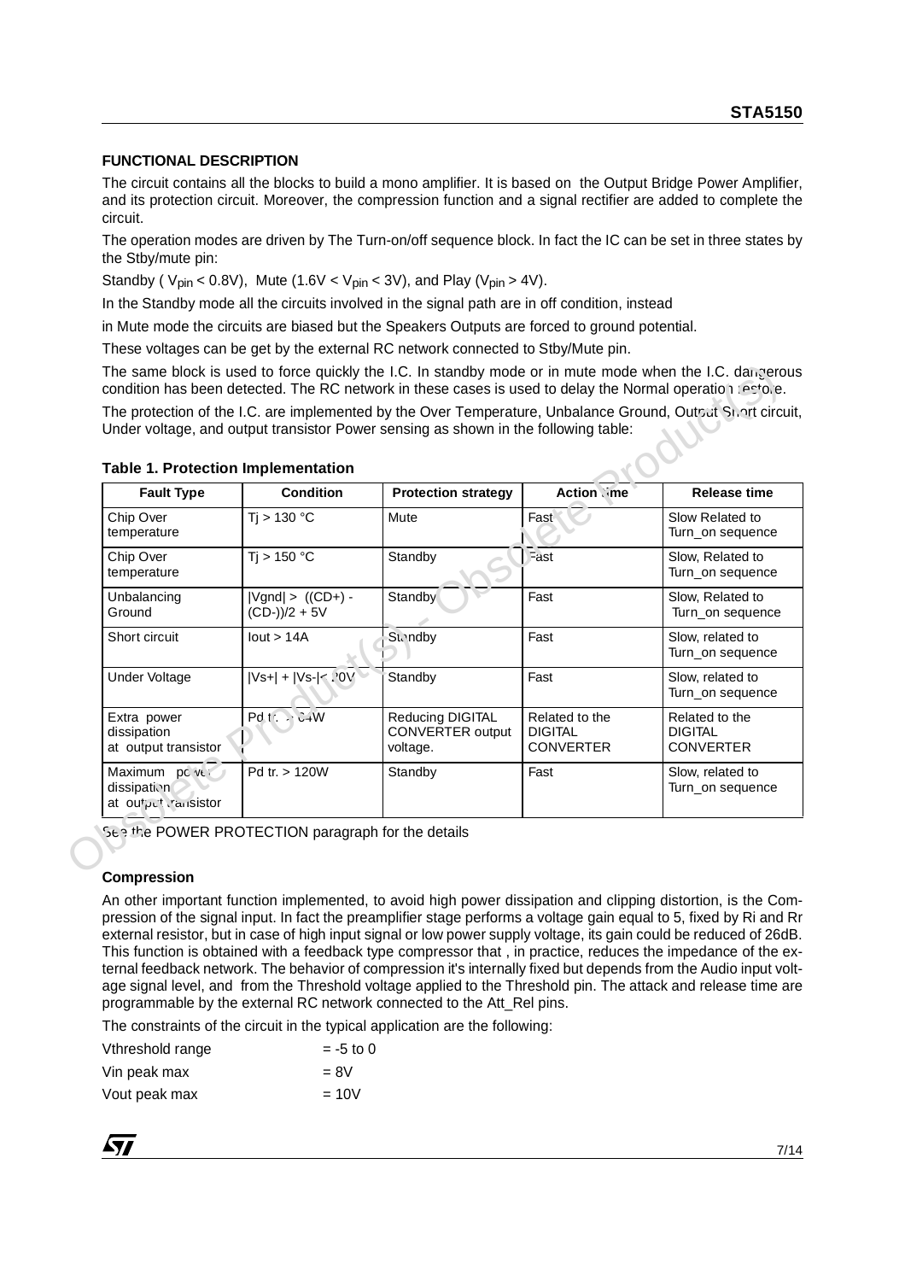#### **FUNCTIONAL DESCRIPTION**

The circuit contains all the blocks to build a mono amplifier. It is based on the Output Bridge Power Amplifier, and its protection circuit. Moreover, the compression function and a signal rectifier are added to complete the circuit.

The operation modes are driven by The Turn-on/off sequence block. In fact the IC can be set in three states by the Stby/mute pin:

Standby (  $V_{\text{pin}}$  < 0.8V), Mute (1.6V <  $V_{\text{pin}}$  < 3V), and Play ( $V_{\text{pin}}$  > 4V).

In the Standby mode all the circuits involved in the signal path are in off condition, instead

in Mute mode the circuits are biased but the Speakers Outputs are forced to ground potential.

These voltages can be get by the external RC network connected to Stby/Mute pin.

| <b>Fault Type</b>                                   | <b>Condition</b>                         | <b>Protection strategy</b>                              | <b>Action</b> (me                                    | <b>Release time</b>                                  |
|-----------------------------------------------------|------------------------------------------|---------------------------------------------------------|------------------------------------------------------|------------------------------------------------------|
| Chip Over<br>temperature                            | Ti > 130 °C                              | Mute                                                    | Fast                                                 | Slow Related to<br>Turn_on sequence                  |
| Chip Over<br>temperature                            | Ti > 150 °C                              | Standby                                                 | Fast                                                 | Slow, Related to<br>Turn_on sequence                 |
| Unbalancing<br>Ground                               | $ Vgnd $ > $((CD+)$ -<br>$(CD-))/2 + 5V$ | Standby                                                 | Fast                                                 | Slow, Related to<br>Turn_on sequence                 |
| Short circuit                                       | lout > 14A                               | <b>Standby</b>                                          | Fast                                                 | Slow, related to<br>Turn_on sequence                 |
| <b>Under Voltage</b>                                | $ Vs+  +  Vs-  < 10V$                    | Standby                                                 | Fast                                                 | Slow, related to<br>Turn_on sequence                 |
| Extra power<br>dissipation<br>at output transistor  | $Pdt \rightarrow C+W$                    | <b>Reducing DIGITAL</b><br>CONVERTER output<br>voltage. | Related to the<br><b>DIGITAL</b><br><b>CONVERTER</b> | Related to the<br><b>DIGITAL</b><br><b>CONVERTER</b> |
| Maximum pc ve<br>dissipation<br>at output ransistor | Pd tr. > 120W                            | Standby                                                 | Fast                                                 | Slow, related to<br>Turn_on sequence                 |

#### **Table 1. Protection Implementation**

#### **Compression**

An other important function implemented, to avoid high power dissipation and clipping distortion, is the Compression of the signal input. In fact the preamplifier stage performs a voltage gain equal to 5, fixed by Ri and Rr external resistor, but in case of high input signal or low power supply voltage, its gain could be reduced of 26dB. This function is obtained with a feedback type compressor that , in practice, reduces the impedance of the external feedback network. The behavior of compression it's internally fixed but depends from the Audio input voltage signal level, and from the Threshold voltage applied to the Threshold pin. The attack and release time are programmable by the external RC network connected to the Att\_Rel pins.

The constraints of the circuit in the typical application are the following:

| Vthreshold range | $= -5$ to 0 |
|------------------|-------------|
| Vin peak max     | $= 8V$      |
| Vout peak max    | $=10V$      |

$$
\sqrt{M}
$$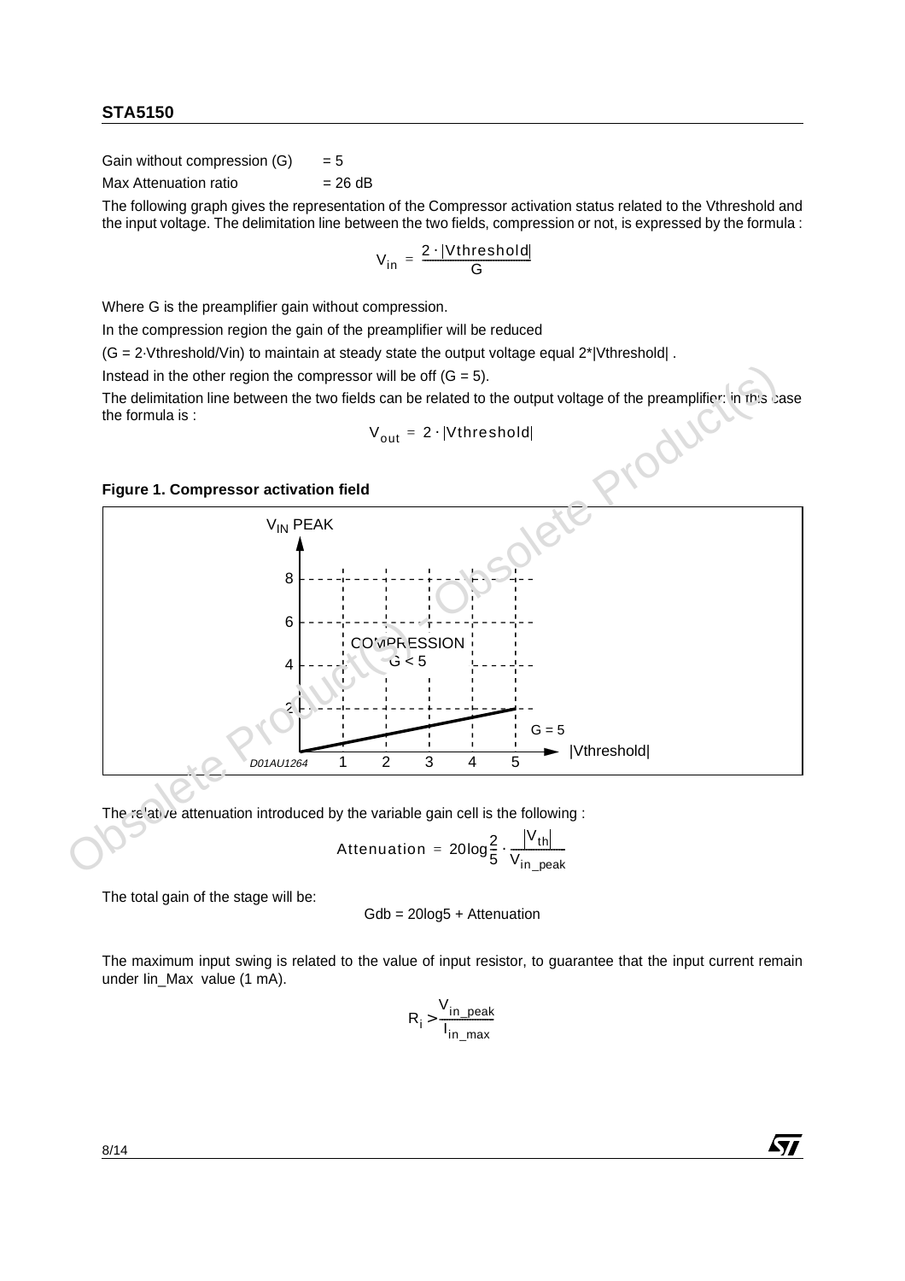Gain without compression  $(G) = 5$ 

 $Max$  Attenuation ratio  $= 26$  dB

The following graph gives the representation of the Compressor activation status related to the Vthreshold and the input voltage. The delimitation line between the two fields, compression or not, is expressed by the formula :

$$
V_{in} = \frac{2 \cdot |Vthreshold|}{G}
$$

Where G is the preamplifier gain without compression.

In the compression region the gain of the preamplifier will be reduced

(G = 2·Vthreshold/Vin) to maintain at steady state the output voltage equal 2\*|Vthreshold| .

Instead in the other region the compressor will be off  $(G = 5)$ .

The delimitation line between the two fields can be related to the output voltage of the preamplifier: in this case the formula is :

$$
V_{out} = 2 \cdot |Vthreshold|
$$





The relative attenuation introduced by the variable gain cell is the following :

$$
\text{Attention} = 20 \log_{\frac{2}{5}}^{2} \cdot \frac{|V_{th}|}{V_{in\_peak}}
$$

The total gain of the stage will be:

$$
Gdb = 20\log 5 +
$$
Attention

The maximum input swing is related to the value of input resistor, to guarantee that the input current remain under Iin Max value (1 mA).

$$
R_i > \frac{V_{in\_peak}}{I_{in\_max}}
$$

57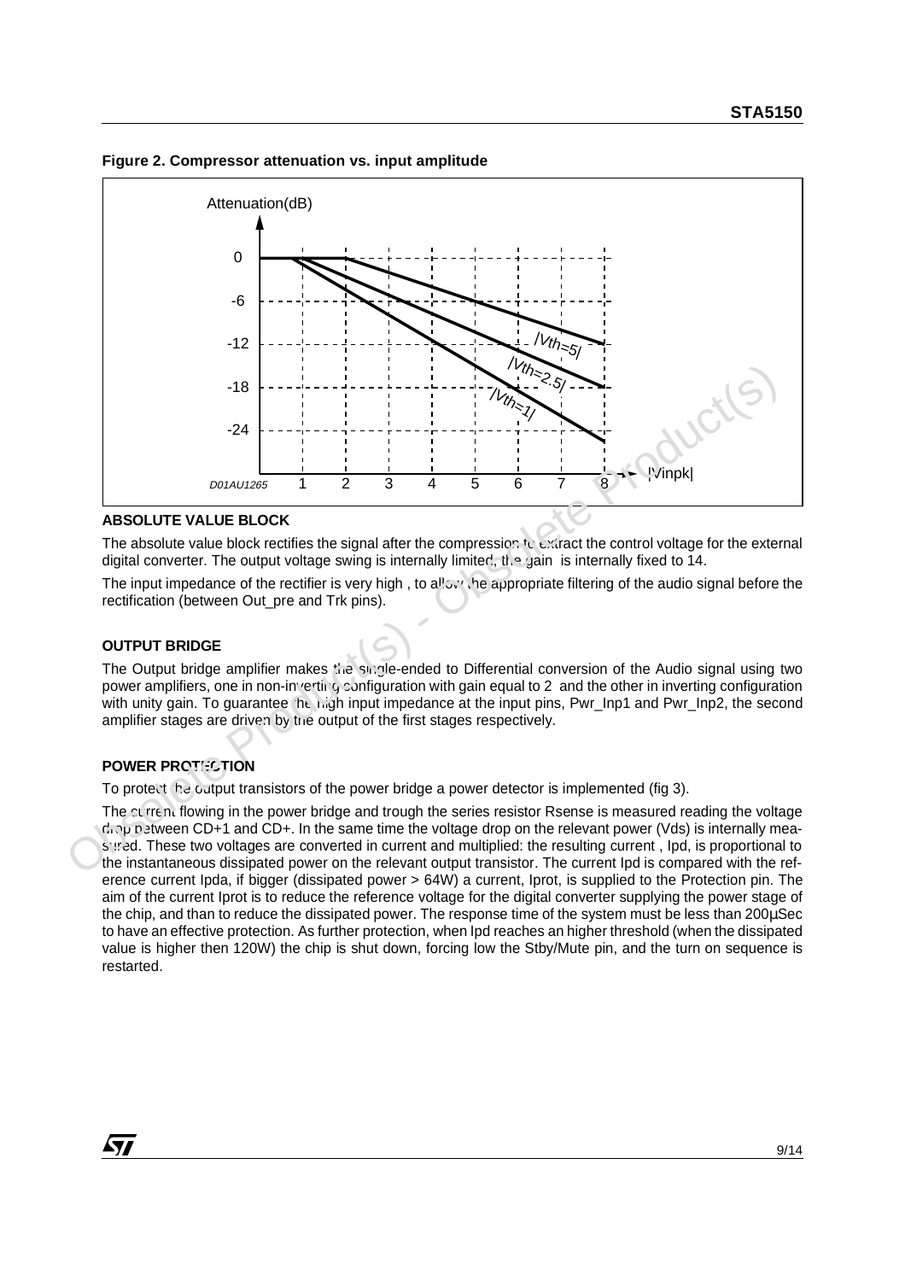**Figure 2. Compressor attenuation vs. input amplitude**



#### **ABSOLUTE VALUE BLOCK**

The absolute value block rectifies the signal after the compression to extract the control voltage for the external digital converter. The output voltage swing is internally limited, the gain is internally fixed to 14.

The input impedance of the rectifier is very high, to allow the appropriate filtering of the audio signal before the rectification (between Out\_pre and Trk pins).

#### **OUTPUT BRIDGE**

The Output bridge amplifier makes the single-ended to Differential conversion of the Audio signal using two power amplifiers, one in non-inverting configuration with gain equal to 2 and the other in inverting configuration with unity gain. To guarantee the high input impedance at the input pins, Pwr\_Inp1 and Pwr\_Inp2, the second amplifier stages are driven by the output of the first stages respectively.

#### **POWER PROTECTION**

To protect  $f \circ \mathcal{F}$  output transistors of the power bridge a power detector is implemented (fig 3).

**ABSOLUTE VALUE BLOCK**<br>
The absolute VALUE BLOCK<br>
The absolute value block rectifies the signal after the compression  $v_c$  excreat the control voltage for the external<br>
digital converter. The output voltage swing is inter The current flowing in the power bridge and trough the series resistor Rsense is measured reading the voltage drop between CD+1 and CD+. In the same time the voltage drop on the relevant power (Vds) is internally measured. These two voltages are converted in current and multiplied: the resulting current, Ipd, is proportional to the instantaneous dissipated power on the relevant output transistor. The current Ipd is compared with the reference current Ipda, if bigger (dissipated power > 64W) a current, Iprot, is supplied to the Protection pin. The aim of the current Iprot is to reduce the reference voltage for the digital converter supplying the power stage of the chip, and than to reduce the dissipated power. The response time of the system must be less than 200µSec to have an effective protection. As further protection, when Ipd reaches an higher threshold (when the dissipated value is higher then 120W) the chip is shut down, forcing low the Stby/Mute pin, and the turn on sequence is restarted.

*ky*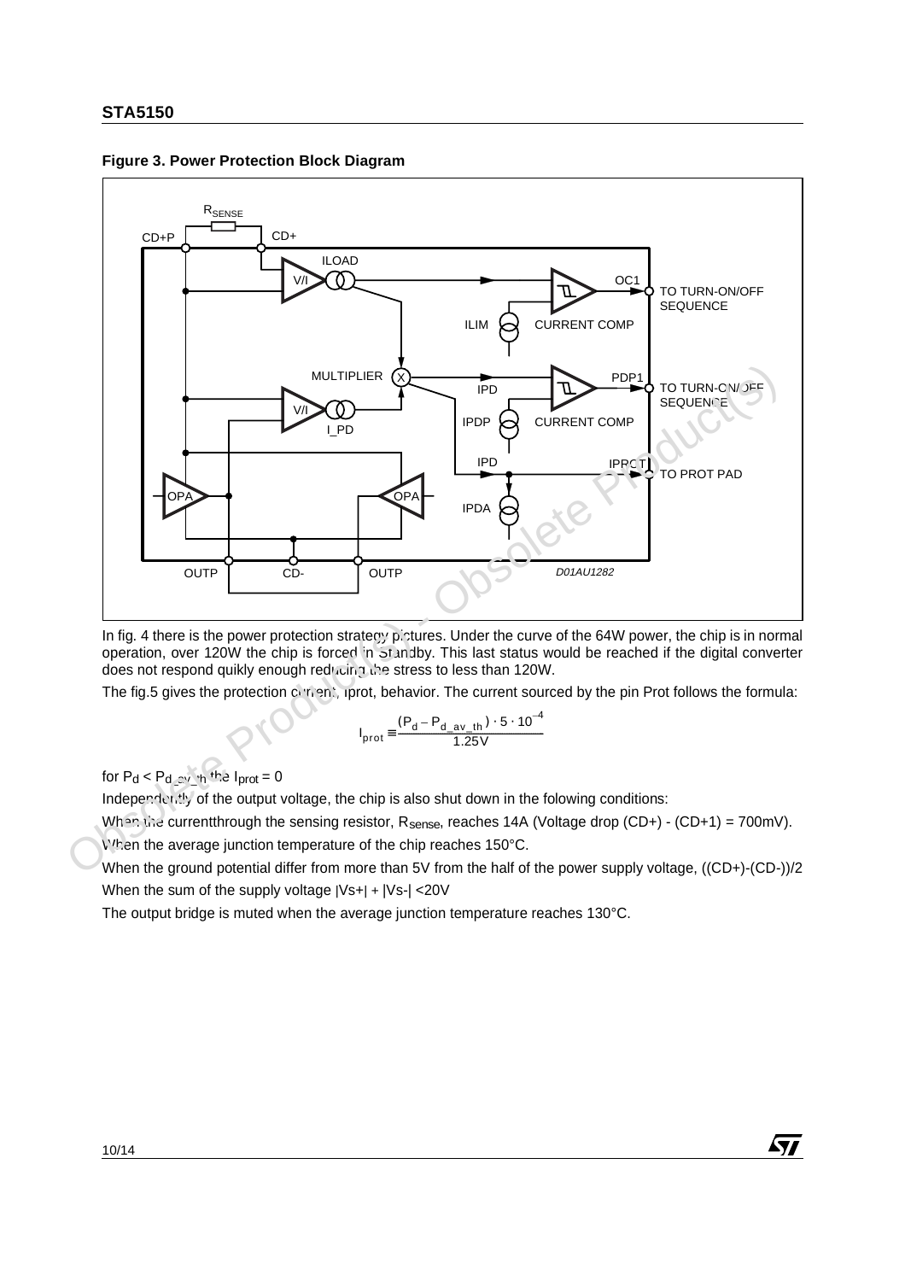



In fig. 4 there is the power protection strategy pictures. Under the curve of the 64W power, the chip is in normal operation, over 120W the chip is forced in Standby. This last status would be reached if the digital converter does not respond quikly enough reducing the stress to less than 120W.

The fig.5 gives the protection current, iprot, behavior. The current sourced by the pin Prot follows the formula:

$$
I_{\text{prot}} = \frac{(P_{\text{d}} - P_{\text{d}\_av\_th}) \cdot 5 \cdot 10^{-4}}{1.25 \text{V}}
$$

for  $P_d < P_d$  av that  $I_{prot} = 0$ 

Independently of the output voltage, the chip is also shut down in the folowing conditions:

When the currentthrough the sensing resistor,  $R_{\text{sense}}$ , reaches 14A (Voltage drop (CD+) - (CD+1) = 700mV).

When the average junction temperature of the chip reaches 150°C.

When the ground potential differ from more than 5V from the half of the power supply voltage, ((CD+)-(CD-))/2 When the sum of the supply voltage |Vs+| + |Vs-| <20V

57

The output bridge is muted when the average junction temperature reaches 130°C.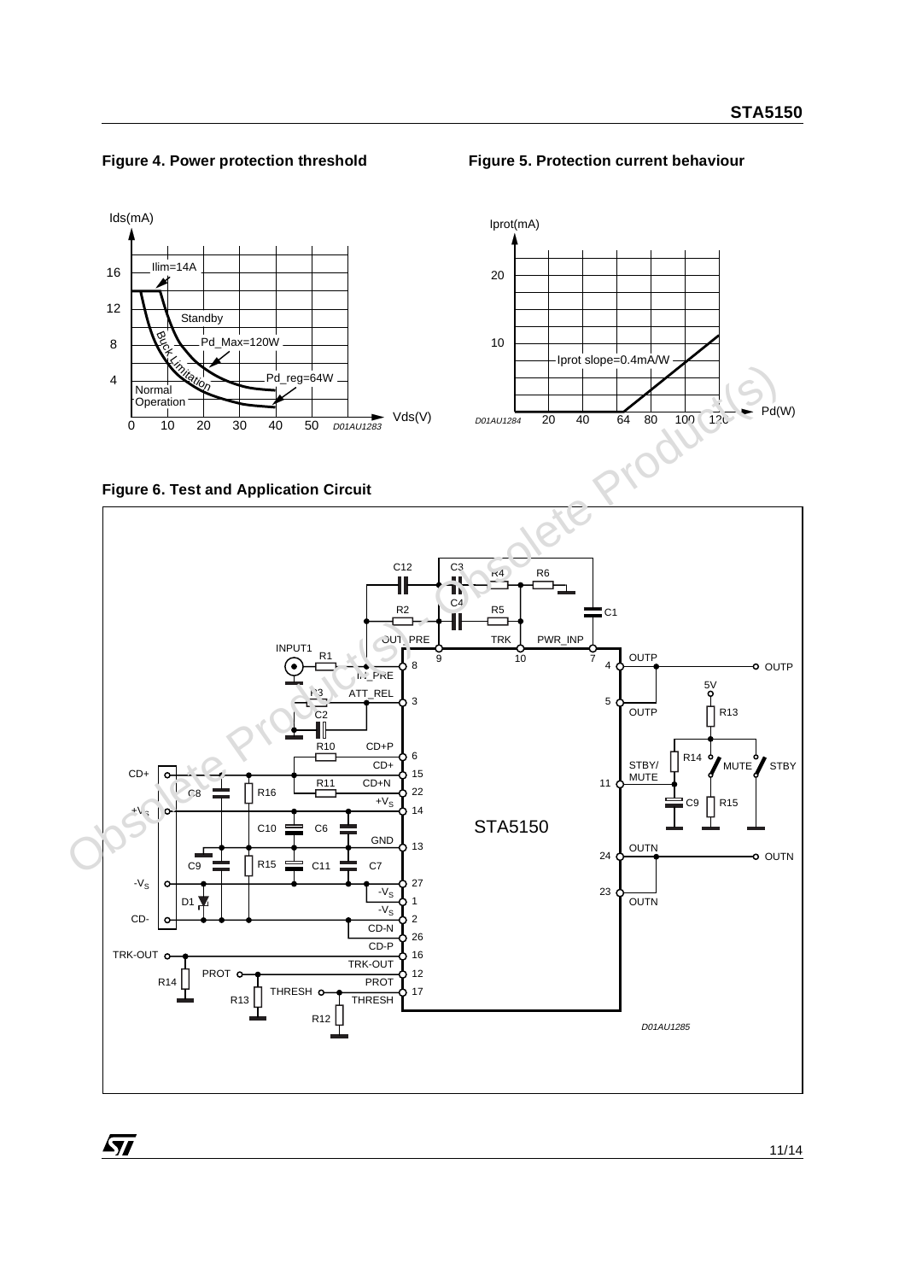

#### **Figure 4. Power protection threshold Figure 5. Protection current behaviour**



#### **Figure 6. Test and Application Circuit**

 $\sqrt{27}$ 

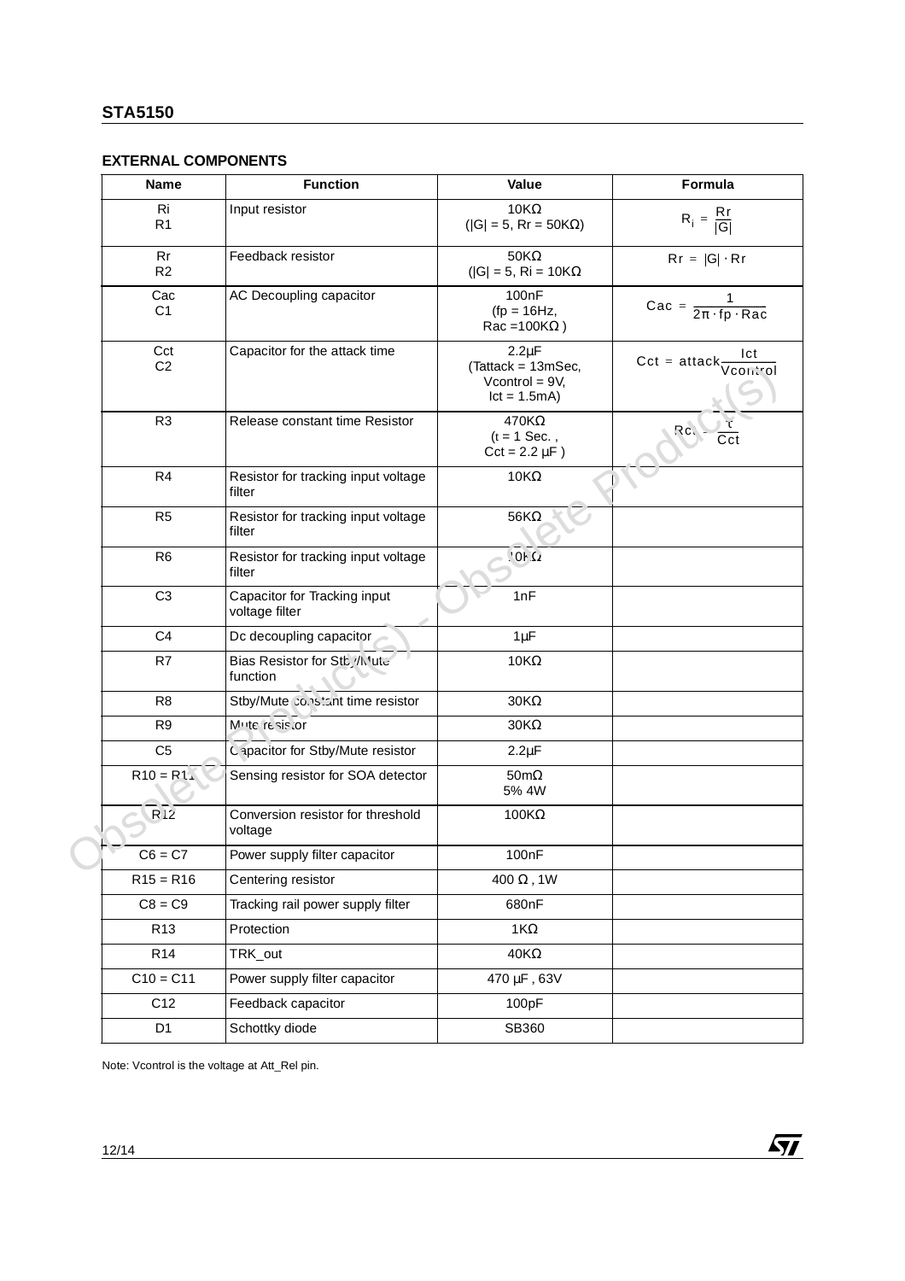# **EXTERNAL COMPONENTS**

| <b>Name</b>           | <b>Function</b>                                | Value                                                                   | Formula                                   |
|-----------------------|------------------------------------------------|-------------------------------------------------------------------------|-------------------------------------------|
| Ri<br>R <sub>1</sub>  | Input resistor                                 | $10K\Omega$<br>$( G  = 5$ , Rr = 50K $\Omega$ )                         | $R_i = \frac{Rr}{ G }$                    |
| Rr<br>R <sub>2</sub>  | Feedback resistor                              | $50K\Omega$<br>( $ G  = 5$ , Ri = 10K $\Omega$                          | $Rr =  G  \cdot Rr$                       |
| Cac<br>C <sub>1</sub> | AC Decoupling capacitor                        | 100nF<br>$(tp = 16Hz,$<br>$Rac = 100K\Omega$ )                          | Cac = $\frac{1}{2\pi \cdot fp \cdot Rac}$ |
| Cct<br>C <sub>2</sub> | Capacitor for the attack time                  | $2.2 \mu F$<br>(Tattack = 13mSec,<br>Vcontrol = $9V$ ,<br>$lct = 1.5mA$ | $Cct = attack \frac{Ict}{Vconfrol}$       |
| R <sub>3</sub>        | Release constant time Resistor                 | $470K\Omega$<br>$(t = 1$ Sec.,<br>$Cct = 2.2 \mu F$ )                   | Rc.                                       |
| R <sub>4</sub>        | Resistor for tracking input voltage<br>filter  | 10KΩ                                                                    |                                           |
| R <sub>5</sub>        | Resistor for tracking input voltage<br>filter  | 56K $\Omega$                                                            |                                           |
| R <sub>6</sub>        | Resistor for tracking input voltage<br>filter  | 2'10'                                                                   |                                           |
| C <sub>3</sub>        | Capacitor for Tracking input<br>voltage filter | 1nF                                                                     |                                           |
| C <sub>4</sub>        | Dc decoupling capacitor                        | $1 \mu F$                                                               |                                           |
| R7                    | Bias Resistor for Stb, /N'ute<br>function      | 10KΩ                                                                    |                                           |
| R <sub>8</sub>        | Stby/Mute constant time resistor               | $30K\Omega$                                                             |                                           |
| R <sub>9</sub>        | Mute resis.or                                  | $30K\Omega$                                                             |                                           |
| C <sub>5</sub>        | Capacitor for Stby/Mute resistor               | $2.2 \mu F$                                                             |                                           |
| $R10 = R1$            | Sensing resistor for SOA detector              | $50 \text{m}\Omega$<br>5% 4W                                            |                                           |
| R <sub>2</sub>        | Conversion resistor for threshold<br>voltage   | $100K\Omega$                                                            |                                           |
| $C6 = C7$             | Power supply filter capacitor                  | 100nF                                                                   |                                           |
| $R15 = R16$           | Centering resistor                             | 400 $\Omega$ , 1W                                                       |                                           |
| $C8 = C9$             | Tracking rail power supply filter              | 680nF                                                                   |                                           |
| R <sub>13</sub>       | Protection                                     | 1 $K\Omega$                                                             |                                           |
| R <sub>14</sub>       | TRK_out                                        | 40K $\Omega$                                                            |                                           |
| $C10 = C11$           | Power supply filter capacitor                  | 470 µF, 63V                                                             |                                           |
| C12                   | Feedback capacitor                             | 100pF                                                                   |                                           |
| D <sub>1</sub>        | Schottky diode                                 | SB360                                                                   |                                           |

Note: Vcontrol is the voltage at Att\_Rel pin.

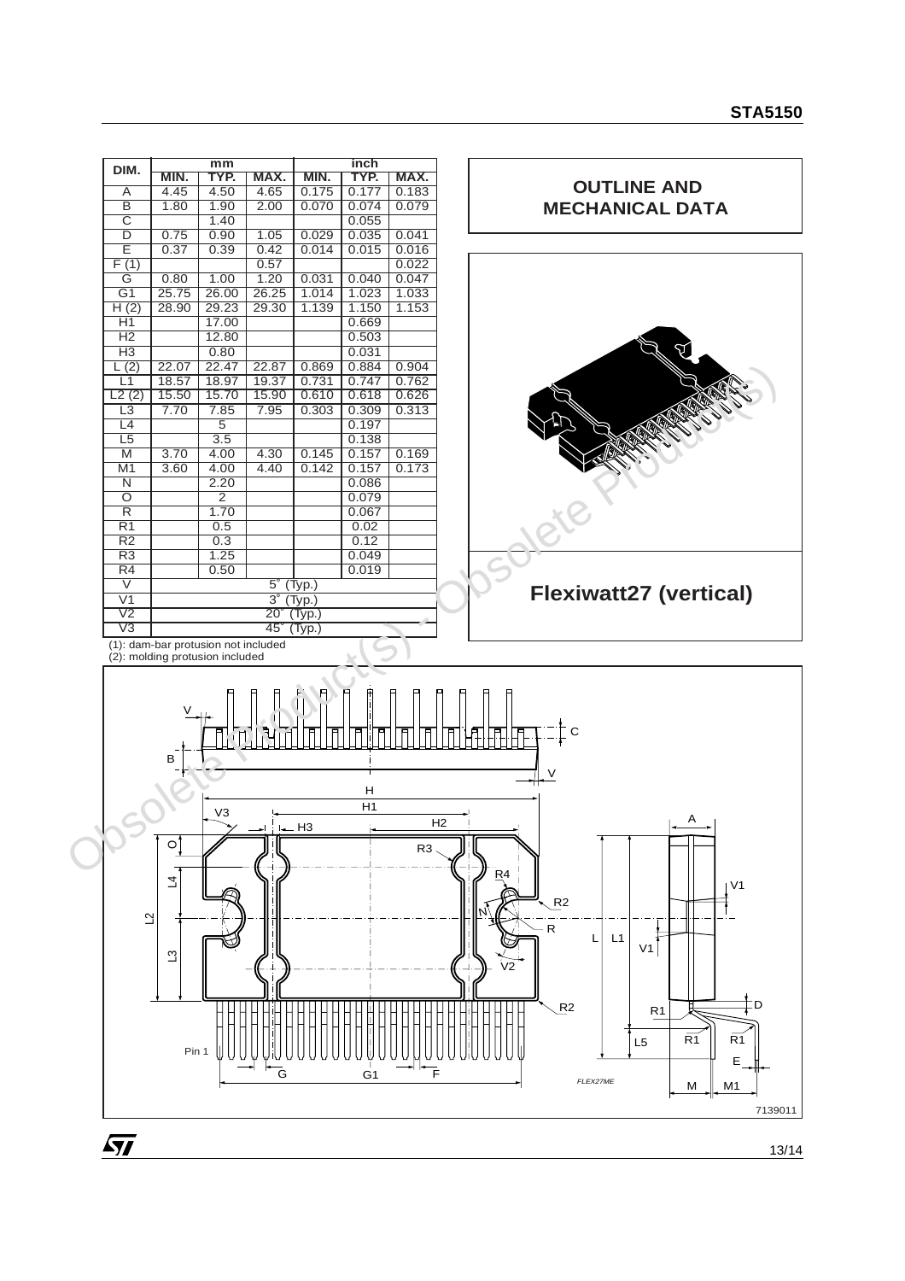